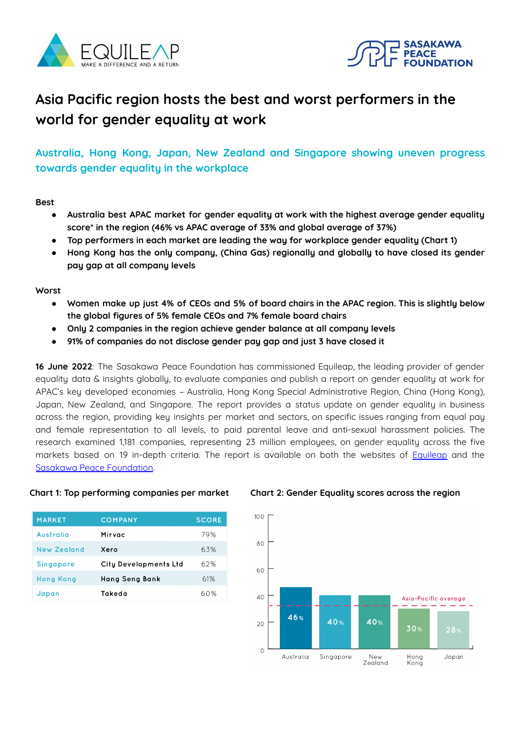



# **Asia Pacific region hosts the best and worst performers in the world for gender equality at work**

**Australia, Hong Kong, Japan, New Zealand and Singapore showing uneven progress towards gender equality in the workplace**

**Best**

- **● Australia best APAC market for gender equality at work with the highest average gender equality score\* in the region (46% vs APAC average of 33% and global average of 37%)**
- **● Top performers in each market are leading the way for workplace gender equality (Chart 1)**
- **● Hong Kong has the only company, (China Gas) regionally and globally to have closed its gender pay gap at all company levels**

**Worst**

- Women make up just 4% of CEOs and 5% of board chairs in the APAC region. This is slightly below **the global figures of 5% female CEOs and 7% female board chairs**
- **● Only 2 companies in the region achieve gender balance at all company levels**
- **● 91% of companies do not disclose gender pay gap and just 3 have closed it**

**16 June 2022**: The Sasakawa Peace Foundation has commissioned Equileap, the leading provider of gender equality data & insights globally, to evaluate companies and publish a report on gender equality at work for APAC's key developed economies – Australia, Hong Kong Special Administrative Region, China (Hong Kong), Japan, New Zealand, and Singapore. The report provides a status update on gender equality in business across the region, providing key insights per market and sectors, on specific issues ranging from equal pay and female representation to all levels, to paid parental leave and anti-sexual harassment policies. The research examined 1,181 companies, representing 23 million employees, on gender equality across the five markets based on 19 in-depth criteria. The report is available on both the websites of **[Equileap](https://equileap.com/)** and the Sasakawa Peace [Foundation](https://www.spf.org/en/gender/publications/20220616.html).

| <b>MARKET</b>    | <b>COMPANY</b>               | <b>SCORE</b> |
|------------------|------------------------------|--------------|
| Australia        | Mirvac                       | 79%          |
| New Zealand      | Xero                         | 63%          |
| <b>Singapore</b> | <b>City Developments Ltd</b> | 62%          |
| <b>Hong Kong</b> | Hang Seng Bank               | 61%          |
| Japan            | Takeda                       | 60%          |

### **Chart 1: Top performing companies per market Chart 2: Gender Equality scores across the region**

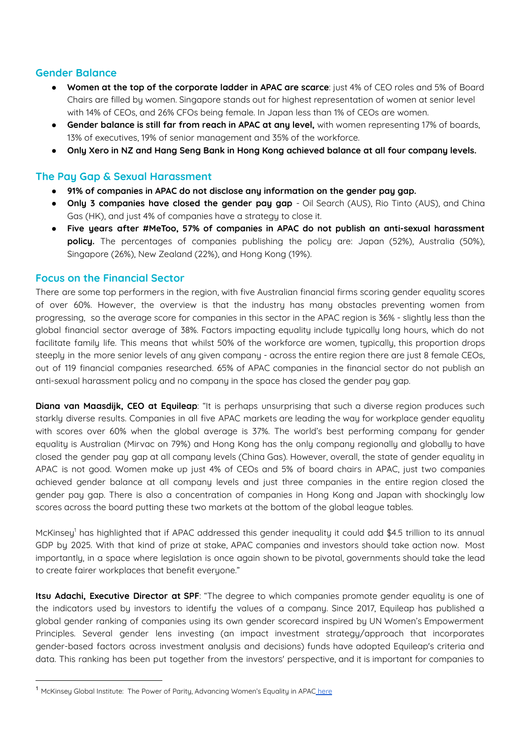# **Gender Balance**

- **Women at the top of the corporate ladder in APAC are scarce**: just 4% of CEO roles and 5% of Board Chairs are filled by women. Singapore stands out for highest representation of women at senior level with 14% of CEOs, and 26% CFOs being female. In Japan less than 1% of CEOs are women.
- **Gender balance is still far from reach in APAC at any level,** with women representing 17% of boards, 13% of executives, 19% of senior management and 35% of the workforce.
- **Only Xero in NZ and Hang Seng Bank in Hong Kong achieved balance at all four company levels.**

# **The Pay Gap & Sexual Harassment**

- **91% of companies in APAC do not disclose any information on the gender pay gap.**
- **Only 3 companies have closed the gender pay gap** Oil Search (AUS), Rio Tinto (AUS), and China Gas (HK), and just 4% of companies have a strategy to close it.
- **Five years after #MeToo, 57% of companies in APAC do not publish an anti-sexual harassment policy.** The percentages of companies publishing the policy are: Japan (52%), Australia (50%), Singapore (26%), New Zealand (22%), and Hong Kong (19%).

# **Focus on the Financial Sector**

There are some top performers in the region, with five Australian financial firms scoring gender equality scores of over 60%. However, the overview is that the industry has many obstacles preventing women from progressing, so the average score for companies in this sector in the APAC region is 36% - slightly less than the global financial sector average of 38%. Factors impacting equality include typically long hours, which do not facilitate family life. This means that whilst 50% of the workforce are women, typically, this proportion drops steeply in the more senior levels of any given company - across the entire region there are just 8 female CEOs, out of 119 financial companies researched. 65% of APAC companies in the financial sector do not publish an anti-sexual harassment policy and no company in the space has closed the gender pay gap.

**Diana van Maasdijk, CEO at Equileap**: "It is perhaps unsurprising that such a diverse region produces such starkly diverse results. Companies in all five APAC markets are leading the way for workplace gender equality with scores over 60% when the global average is 37%. The world's best performing company for gender equality is Australian (Mirvac on 79%) and Hong Kong has the only company regionally and globally to have closed the gender pay gap at all company levels (China Gas). However, overall, the state of gender equality in APAC is not good. Women make up just 4% of CEOs and 5% of board chairs in APAC, just two companies achieved gender balance at all company levels and just three companies in the entire region closed the gender pay gap. There is also a concentration of companies in Hong Kong and Japan with shockingly low scores across the board putting these two markets at the bottom of the global league tables.

McKinsey <sup>1</sup> has highlighted that if APAC addressed this gender inequality it could add \$4.5 trillion to its annual GDP by 2025. With that kind of prize at stake, APAC companies and investors should take action now. Most importantly, in a space where legislation is once again shown to be pivotal, governments should take the lead to create fairer workplaces that benefit everyone."

**Itsu Adachi, Executive Director at SPF**: "The degree to which companies promote gender equality is one of the indicators used by investors to identify the values of a company. Since 2017, Equileap has published a global gender ranking of companies using its own gender scorecard inspired by UN Women's Empowerment Principles. Several gender lens investing (an impact investment strategy/approach that incorporates gender-based factors across investment analysis and decisions) funds have adopted Equileap's criteria and data. This ranking has been put together from the investors' perspective, and it is important for companies to

<sup>&</sup>lt;sup>1</sup> McKinsey Global Institute: The Power of Parity, Advancing Women's Equality in APAC [here](https://www.mckinsey.com/featured-insights/gender-equality/the-power-of-parity-advancing-womens-equality-in-asia-pacific)